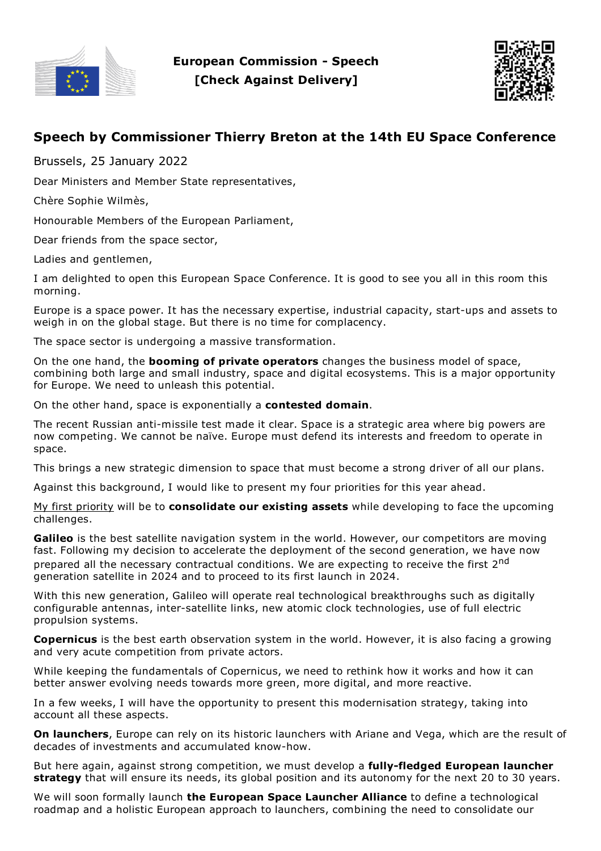



## **Speech by Commissioner Thierry Breton at the 14th EU Space Conference**

Brussels, 25 January 2022

Dear Ministers and Member State representatives,

Chère Sophie Wilmès,

Honourable Members of the European Parliament,

Dear friends from the space sector,

Ladies and gentlemen,

I am delighted to open this European Space Conference. It is good to see you all in this room this morning.

Europe is a space power. It has the necessary expertise, industrial capacity, start-ups and assets to weigh in on the global stage. But there is no time for complacency.

The space sector is undergoing a massive transformation.

On the one hand, the **booming of private operators** changes the business model of space, combining both large and small industry, space and digital ecosystems. This is a major opportunity for Europe. We need to unleash this potential.

On the other hand, space is exponentially a **contested domain**.

The recent Russian anti-missile test made it clear. Space is a strategic area where big powers are now competing. We cannot be naïve. Europe must defend its interests and freedom to operate in space.

This brings a new strategic dimension to space that must become a strong driver of all our plans.

Against this background, I would like to present my four priorities for this year ahead.

My first priority will be to **consolidate our existing assets** while developing to face the upcoming challenges.

**Galileo** is the best satellite navigation system in the world. However, our competitors are moving fast. Following my decision to accelerate the deployment of the second generation, we have now prepared all the necessary contractual conditions. We are expecting to receive the first 2<sup>nd</sup> generation satellite in 2024 and to proceed to its first launch in 2024.

With this new generation, Galileo will operate real technological breakthroughs such as digitally configurable antennas, inter-satellite links, new atomic clock technologies, use of full electric propulsion systems.

**Copernicus** is the best earth observation system in the world. However, it is also facing a growing and very acute competition from private actors.

While keeping the fundamentals of Copernicus, we need to rethink how it works and how it can better answer evolving needs towards more green, more digital, and more reactive.

In a few weeks, I will have the opportunity to present this modernisation strategy, taking into account all these aspects.

**On launchers**, Europe can rely on its historic launchers with Ariane and Vega, which are the result of decades of investments and accumulated know-how.

But here again, against strong competition, we must develop a **fully-fledged European launcher strategy** that will ensure its needs, its global position and its autonomy for the next 20 to 30 years.

We will soon formally launch **the European Space Launcher Alliance** to define a technological roadmap and a holistic European approach to launchers, combining the need to consolidate our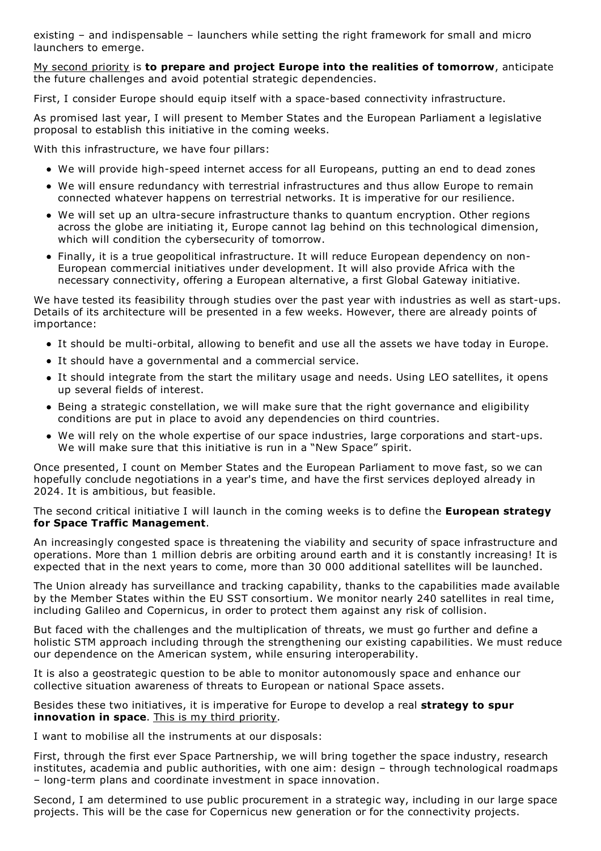existing – and indispensable – launchers while setting the right framework for small and micro launchers to emerge.

My second priority is **to prepare and project Europe into the realities of tomorrow**, anticipate the future challenges and avoid potential strategic dependencies.

First, I consider Europe should equip itself with a space-based connectivity infrastructure.

As promised last year, I will present to Member States and the European Parliament a legislative proposal to establish this initiative in the coming weeks.

With this infrastructure, we have four pillars:

- We will provide high-speed internet access for all Europeans, putting an end to dead zones
- We will ensure redundancy with terrestrial infrastructures and thus allow Europe to remain connected whatever happens on terrestrial networks. It is imperative for our resilience.
- We will set up an ultra-secure infrastructure thanks to quantum encryption. Other regions across the globe are initiating it, Europe cannot lag behind on this technological dimension, which will condition the cybersecurity of tomorrow.
- Finally, it is a true geopolitical infrastructure. It will reduce European dependency on non-European commercial initiatives under development. It will also provide Africa with the necessary connectivity, offering a European alternative, a first Global Gateway initiative.

We have tested its feasibility through studies over the past year with industries as well as start-ups. Details of its architecture will be presented in a few weeks. However, there are already points of importance:

- It should be multi-orbital, allowing to benefit and use all the assets we have today in Europe.
- It should have a governmental and a commercial service.
- It should integrate from the start the military usage and needs. Using LEO satellites, it opens up several fields of interest.
- Being a strategic constellation, we will make sure that the right governance and eligibility conditions are put in place to avoid any dependencies on third countries.
- We will rely on the whole expertise of our space industries, large corporations and start-ups. We will make sure that this initiative is run in <sup>a</sup> "New Space" spirit.

Once presented, I count on Member States and the European Parliament to move fast, so we can hopefully conclude negotiations in a year's time, and have the first services deployed already in 2024. It is ambitious, but feasible.

The second critical initiative I will launch in the coming weeks is to define the **European strategy for Space Traffic Management**.

An increasingly congested space is threatening the viability and security of space infrastructure and operations. More than 1 million debris are orbiting around earth and it is constantly increasing! It is expected that in the next years to come, more than 30 000 additional satellites will be launched.

The Union already has surveillance and tracking capability, thanks to the capabilities made available by the Member States within the EU SST consortium. We monitor nearly 240 satellites in real time, including Galileo and Copernicus, in order to protect them against any risk of collision.

But faced with the challenges and the multiplication of threats, we must go further and define a holistic STM approach including through the strengthening our existing capabilities. We must reduce our dependence on the American system, while ensuring interoperability.

It is also a geostrategic question to be able to monitor autonomously space and enhance our collective situation awareness of threats to European or national Space assets.

Besides these two initiatives, it is imperative for Europe to develop a real **strategy to spur innovation in space**. This is my third priority.

I want to mobilise all the instruments at our disposals:

First, through the first ever Space Partnership, we will bring together the space industry, research institutes, academia and public authorities, with one aim: design – through technological roadmaps – long-term plans and coordinate investment in space innovation.

Second, I am determined to use public procurement in a strategic way, including in our large space projects. This will be the case for Copernicus new generation or for the connectivity projects.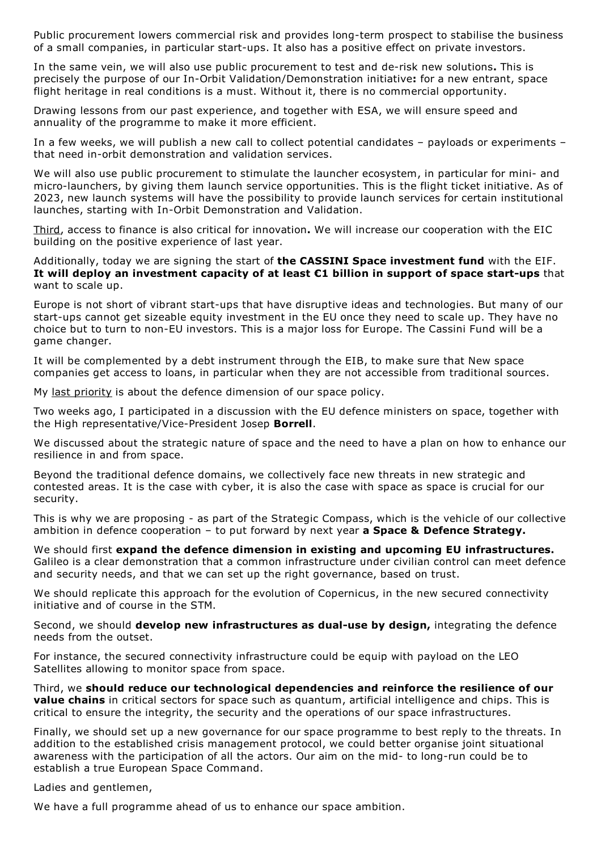Public procurement lowers commercial risk and provides long-term prospect to stabilise the business of a small companies, in particular start-ups. It also has a positive effect on private investors.

In the same vein, we will also use public procurement to test and de-risk new solutions**.** This is precisely the purpose of our In-Orbit Validation/Demonstration initiative**:** for a new entrant, space flight heritage in real conditions is a must. Without it, there is no commercial opportunity.

Drawing lessons from our past experience, and together with ESA, we will ensure speed and annuality of the programme to make it more efficient.

In a few weeks, we will publish a new call to collect potential candidates – payloads or experiments – that need in-orbit demonstration and validation services.

We will also use public procurement to stimulate the launcher ecosystem, in particular for mini- and micro-launchers, by giving them launch service opportunities. This is the flight ticket initiative. As of 2023, new launch systems will have the possibility to provide launch services for certain institutional launches, starting with In-Orbit Demonstration and Validation.

Third, access to finance is also critical for innovation**.** We will increase our cooperation with the EIC building on the positive experience of last year.

Additionally, today we are signing the start of **the CASSINI Space investment fund** with the EIF. **It will deploy an investment capacity of at least €1 billion in support of space start-ups** that want to scale up.

Europe is not short of vibrant start-ups that have disruptive ideas and technologies. But many of our start-ups cannot get sizeable equity investment in the EU once they need to scale up. They have no choice but to turn to non-EU investors. This is a major loss for Europe. The Cassini Fund will be a game changer.

It will be complemented by a debt instrument through the EIB, to make sure that New space companies get access to loans, in particular when they are not accessible from traditional sources.

My last priority is about the defence dimension of our space policy.

Two weeks ago, I participated in a discussion with the EU defence ministers on space, together with the High representative/Vice-President Josep **Borrell**.

We discussed about the strategic nature of space and the need to have a plan on how to enhance our resilience in and from space.

Beyond the traditional defence domains, we collectively face new threats in new strategic and contested areas. It is the case with cyber, it is also the case with space as space is crucial for our security.

This is why we are proposing - as part of the Strategic Compass, which is the vehicle of our collective ambition in defence cooperation – to put forward by next year **a Space & Defence Strategy.**

We should first **expand the defence dimension in existing and upcoming EU infrastructures.** Galileo is a clear demonstration that a common infrastructure under civilian control can meet defence and security needs, and that we can set up the right governance, based on trust.

We should replicate this approach for the evolution of Copernicus, in the new secured connectivity initiative and of course in the STM.

Second, we should **develop new infrastructures as dual-use by design,** integrating the defence needs from the outset.

For instance, the secured connectivity infrastructure could be equip with payload on the LEO Satellites allowing to monitor space from space.

Third, we **should reduce our technological dependencies and reinforce the resilience of our value chains** in critical sectors for space such as quantum, artificial intelligence and chips. This is critical to ensure the integrity, the security and the operations of our space infrastructures.

Finally, we should set up a new governance for our space programme to best reply to the threats. In addition to the established crisis management protocol, we could better organise joint situational awareness with the participation of all the actors. Our aim on the mid- to long-run could be to establish a true European Space Command.

Ladies and gentlemen,

We have a full programme ahead of us to enhance our space ambition.